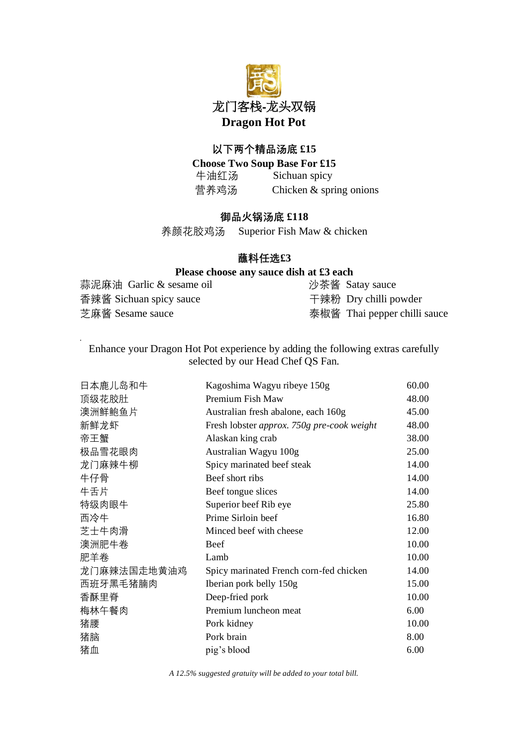

## **以下两个精品汤底 £15**

**Choose Two Soup Base For £15** 牛油红汤 Sichuan spicy 营养鸡汤 Chicken & spring onions

## **御品火锅汤底 £118**

养颜花胶鸡汤 Superior Fish Maw & chicken

## **蘸料任选£3**

## **Please choose any sauce dish at £3 each**

| 蒜泥麻油 Garlic & sesame oil | 沙茶酱 Satay sauce              |
|--------------------------|------------------------------|
| 香辣酱 Sichuan spicy sauce  | 干辣粉 Dry chilli powder        |
| 芝麻酱 Sesame sauce         | 泰椒酱 Thai pepper chilli sauce |

Enhance your Dragon Hot Pot experience by adding the following extras carefully selected by our Head Chef QS Fan.

*.*

| 日本鹿儿岛和牛     | Kagoshima Wagyu ribeye 150g                | 60.00 |
|-------------|--------------------------------------------|-------|
| 顶级花胶肚       | Premium Fish Maw                           | 48.00 |
| 澳洲鲜鲍鱼片      | Australian fresh abalone, each 160g        | 45.00 |
| 新鲜龙虾        | Fresh lobster approx. 750g pre-cook weight | 48.00 |
| 帝王蟹         | Alaskan king crab                          | 38.00 |
| 极品雪花眼肉      | Australian Wagyu 100g                      | 25.00 |
| 龙门麻辣牛柳      | Spicy marinated beef steak                 | 14.00 |
| 牛仔骨         | Beef short ribs                            | 14.00 |
| 牛舌片         | Beef tongue slices                         | 14.00 |
| 特级肉眼牛       | Superior beef Rib eye                      | 25.80 |
| 西冷牛         | Prime Sirloin beef                         | 16.80 |
| 芝士牛肉滑       | Minced beef with cheese                    | 12.00 |
| 澳洲肥牛卷       | Beef                                       | 10.00 |
| 肥羊卷         | Lamb                                       | 10.00 |
| 龙门麻辣法国走地黄油鸡 | Spicy marinated French corn-fed chicken    | 14.00 |
| 西班牙黑毛猪腩肉    | Iberian pork belly 150g                    | 15.00 |
| 香酥里脊        | Deep-fried pork                            | 10.00 |
| 梅林午餐肉       | Premium luncheon meat                      | 6.00  |
| 猪腰          | Pork kidney                                | 10.00 |
| 猪脑          | Pork brain                                 | 8.00  |
| 猪血          | pig's blood                                | 6.00  |

*A 12.5% suggested gratuity will be added to your total bill.*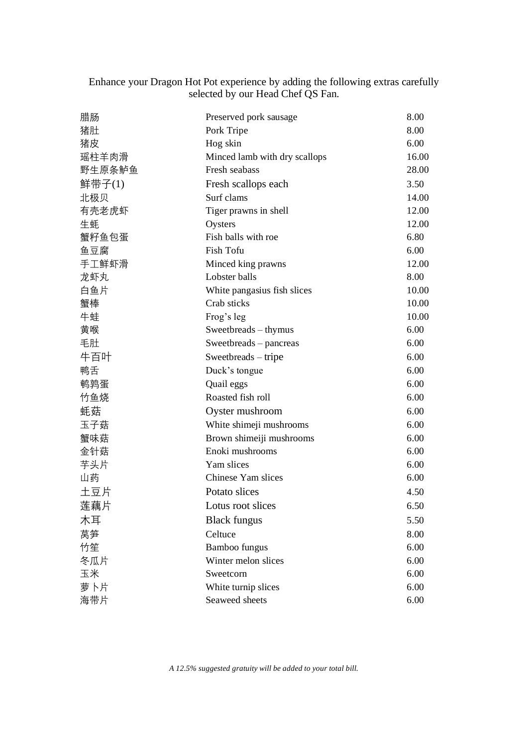| Enhance your Dragon Hot Pot experience by adding the following extras carefully |  |  |
|---------------------------------------------------------------------------------|--|--|
| selected by our Head Chef QS Fan.                                               |  |  |

| 腊肠        | Preserved pork sausage        | 8.00  |
|-----------|-------------------------------|-------|
| 猪肚        | Pork Tripe                    | 8.00  |
| 猪皮        | Hog skin                      | 6.00  |
| 瑶柱羊肉滑     | Minced lamb with dry scallops | 16.00 |
| 野生原条鲈鱼    | Fresh seabass                 | 28.00 |
| 鲜带子 $(1)$ | Fresh scallops each           | 3.50  |
| 北极贝       | Surf clams                    | 14.00 |
| 有壳老虎虾     | Tiger prawns in shell         | 12.00 |
| 生蚝        | Oysters                       | 12.00 |
| 蟹籽鱼包蛋     | Fish balls with roe           | 6.80  |
| 鱼豆腐       | Fish Tofu                     | 6.00  |
| 手工鲜虾滑     | Minced king prawns            | 12.00 |
| 龙虾丸       | Lobster balls                 | 8.00  |
| 白鱼片       | White pangasius fish slices   | 10.00 |
| 蟹棒        | Crab sticks                   | 10.00 |
| 牛蛙        | Frog's leg                    | 10.00 |
| 黄喉        | Sweetbreads - thymus          | 6.00  |
| 毛肚        | Sweetbreads - pancreas        | 6.00  |
| 牛百叶       | Sweetbreads – tripe           | 6.00  |
| 鸭舌        | Duck's tongue                 | 6.00  |
| 鹌鹑蛋       | Quail eggs                    | 6.00  |
| 竹鱼烧       | Roasted fish roll             | 6.00  |
| 蚝菇        | Oyster mushroom               | 6.00  |
| 玉子菇       | White shimeji mushrooms       | 6.00  |
| 蟹味菇       | Brown shimeiji mushrooms      | 6.00  |
| 金针菇       | Enoki mushrooms               | 6.00  |
| 芋头片       | Yam slices                    | 6.00  |
| 山药        | Chinese Yam slices            | 6.00  |
| 土豆片       | Potato slices                 | 4.50  |
| 莲藕片       | Lotus root slices             | 6.50  |
| 木耳        | <b>Black fungus</b>           | 5.50  |
| 莴笋        | Celtuce                       | 8.00  |
| 竹笙        | Bamboo fungus                 | 6.00  |
| 冬瓜片       | Winter melon slices           | 6.00  |
| 玉米        | Sweetcorn                     | 6.00  |
| 萝卜片       | White turnip slices           | 6.00  |
| 海带片       | Seaweed sheets                | 6.00  |